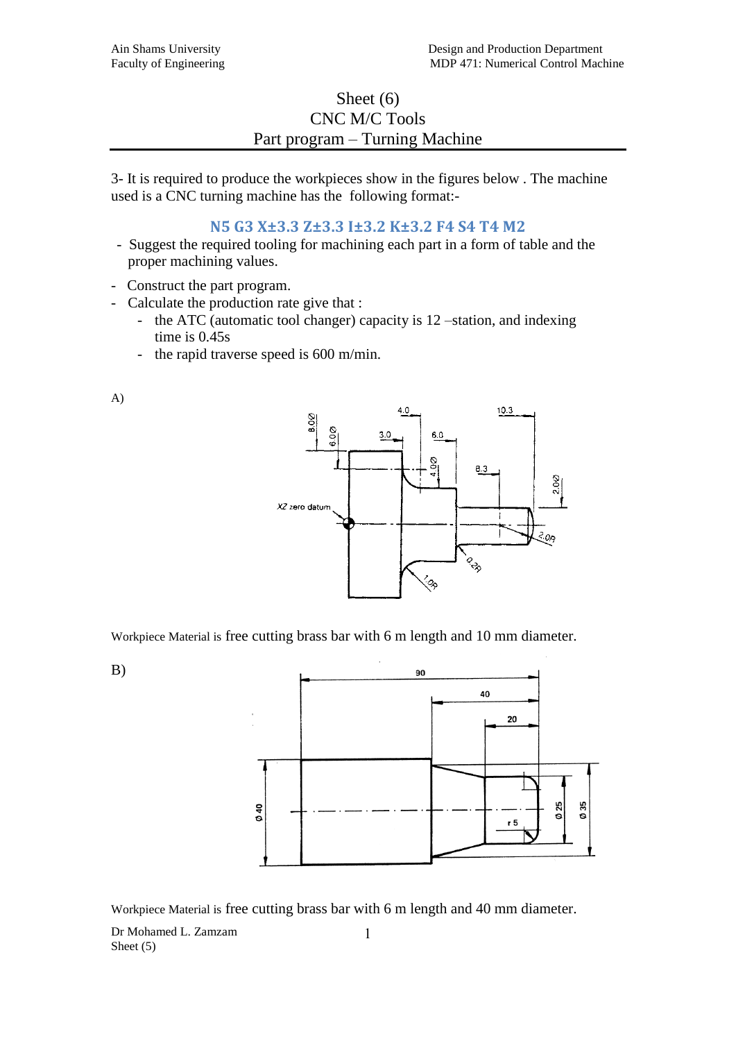# Sheet (6) CNC M/C Tools Part program – Turning Machine

3- It is required to produce the workpieces show in the figures below . The machine used is a CNC turning machine has the following format:-

## **N5 G3 X±3.3 Z±3.3 I±3.2 K±3.2 F4 S4 T4 M2**

- Suggest the required tooling for machining each part in a form of table and the proper machining values.
- Construct the part program.
- Calculate the production rate give that :
	- the ATC (automatic tool changer) capacity is 12 –station, and indexing time is 0.45s
	- the rapid traverse speed is 600 m/min.

A)



Workpiece Material is free cutting brass bar with 6 m length and 10 mm diameter.

B)



Workpiece Material is free cutting brass bar with 6 m length and 40 mm diameter.

Dr Mohamed L. Zamzam Sheet (5)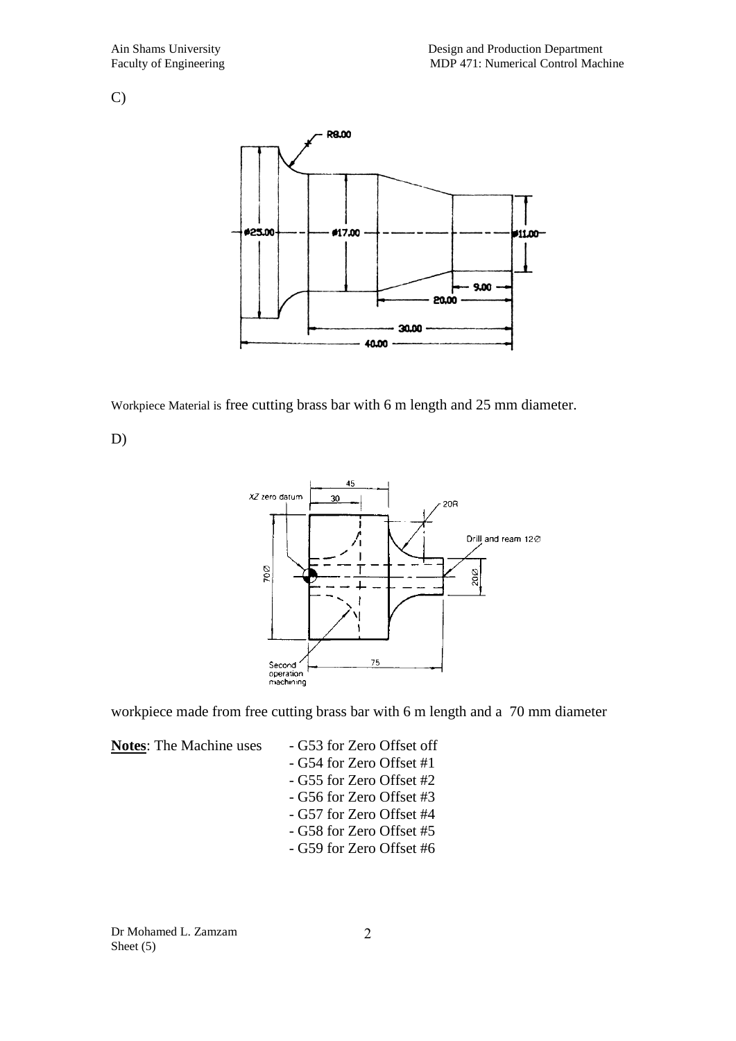C)



Workpiece Material is free cutting brass bar with 6 m length and 25 mm diameter.

D)



workpiece made from free cutting brass bar with 6 m length and a 70 mm diameter

**Notes**: The Machine uses - G53 for Zero Offset off

| - GOS TOT ZETO UITSEI OIT |
|---------------------------|
| - G54 for Zero Offset #1  |
| - G55 for Zero Offset #2  |
| - G56 for Zero Offset #3  |
| - G57 for Zero Offset #4  |
| - G58 for Zero Offset #5  |
| - G59 for Zero Offset #6  |

Dr Mohamed L. Zamzam Sheet (5)